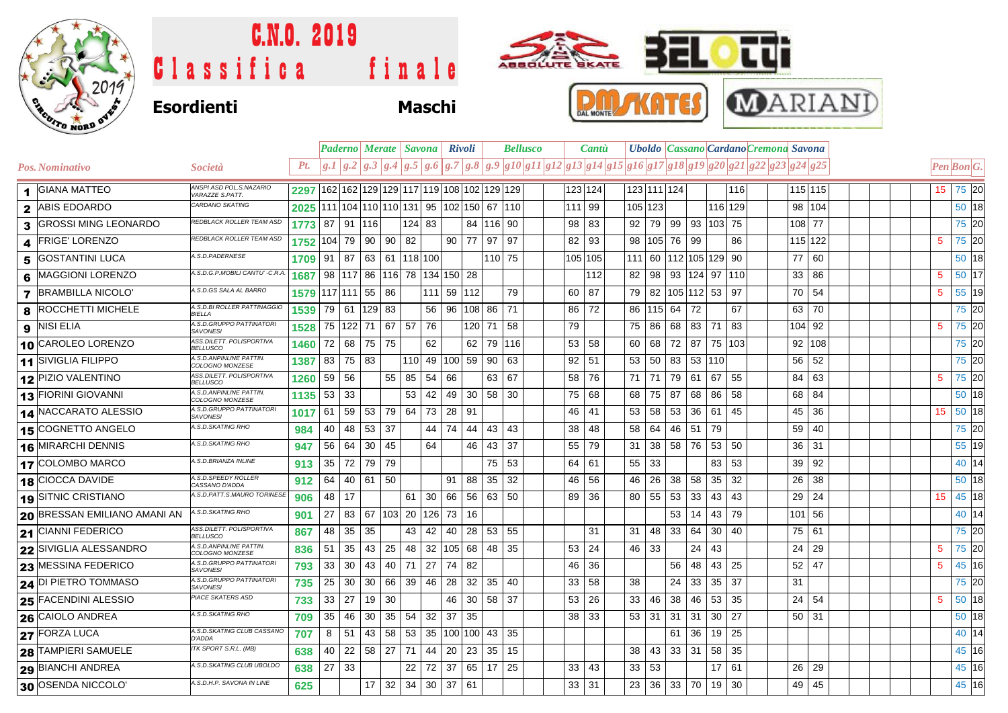

## C.N.O. 2019  $\bullet$  tut ABSOLUTE BKATE Eſ 日 Classifica finale DAL MONTE **Esordienti Maschi**

|                         |                                     |                                              |                                                                  |              |           |           |                          |                                       |               | Paderno   Merate   Savona   Rivoli |               |        | <b>Bellusco</b> |         | <b>Cantu</b> |    |                 |          | Uboldo   Cassano   Cardano Cremona Savona |                                                                                                        |                       |  |  |                                                                         |
|-------------------------|-------------------------------------|----------------------------------------------|------------------------------------------------------------------|--------------|-----------|-----------|--------------------------|---------------------------------------|---------------|------------------------------------|---------------|--------|-----------------|---------|--------------|----|-----------------|----------|-------------------------------------------|--------------------------------------------------------------------------------------------------------|-----------------------|--|--|-------------------------------------------------------------------------|
|                         | Pos. Nominativo                     | <i>Società</i>                               | Pt.                                                              |              |           |           |                          |                                       |               |                                    |               |        |                 |         |              |    |                 |          |                                           | $ g.1 g.2 g.3 g.4 g.5 g.6 g.7 g.8 g.9 g10 g11 g12 g13 g14 g15 g16 g17 g18 g19 g20 g21 g22 g23 g24 g25$ |                       |  |  | $\left  Pen\right $ <i>Bon</i> <sup><math>\left  G.\right </math></sup> |
| $\blacktriangleleft$    | <b>GIANA MATTEO</b>                 | ANSPI ASD POL.S.NAZARIO<br>VARAZZE S.PATT.   | 2297   162   162   129   129   117   119   108   102   129   129 |              |           |           |                          |                                       |               |                                    |               |        |                 | 123 124 |              |    | 123 111 124     |          |                                           | 116                                                                                                    | 115 115               |  |  | 75 20<br>15 <sup>15</sup>                                               |
| $\mathbf{2}$            | <b>ABIS EDOARDO</b>                 | <b>CARDANO SKATING</b>                       | 2025                                                             |              |           |           |                          | 111 104 110 110 131 95 102 150 67 110 |               |                                    |               |        |                 | 111 99  |              |    | 105 123         |          |                                           | 116 129                                                                                                | 98 104                |  |  | 50 18                                                                   |
| 3                       | <b>GROSSI MING LEONARDO</b>         | REDBLACK ROLLER TEAM ASD                     | 1773                                                             |              |           | 87 91 116 |                          | $124$ 83                              |               |                                    | 84   116   90 |        |                 | 98 83   |              | 92 |                 |          |                                           | 79   99   93   103   75                                                                                | 108 77                |  |  | 75 20                                                                   |
| $\boldsymbol{4}$        | <b>FRIGE' LORENZO</b>               | REDBLACK ROLLER TEAM ASD                     | 1752                                                             | 104 79       |           | 90        | 90                       | 82                                    |               | $90$ 77 97                         |               | 97     |                 | 82 93   |              | 98 | 105 76 99       |          |                                           | 86                                                                                                     | 115 122               |  |  | 75 20<br>5                                                              |
| 5                       | GOSTANTINI LUCA                     | A.S.D.PADERNESE                              | 1709                                                             | 91   87      |           |           |                          | 63 61 118 100                         |               |                                    |               | 110 75 |                 | 105 105 |              |    |                 |          |                                           | 111 60 112 105 129 90                                                                                  | 77 60                 |  |  | 50 18                                                                   |
| 6                       | MAGGIONI LORENZO                    | A.S.D.G.P.MOBILI CANTU' -C.R.A               | 1687                                                             |              |           |           | 98   117   86   116   78 |                                       | 134 150 28    |                                    |               |        |                 |         | 112          | 82 |                 |          |                                           | 98   93   124   97   110                                                                               | 33   86               |  |  | 50 17<br>5                                                              |
| $\overline{\mathbf{z}}$ | <b>BRAMBILLA NICOLO'</b>            | A.S.D.GS SALA AL BARRO                       | 1579 117 111 55                                                  |              |           |           | 86                       |                                       | 111 59 112    |                                    |               | 79     |                 | 60      | 87           | 79 |                 |          |                                           | 82   105   112   53   97                                                                               | 70 54                 |  |  | 55 19<br>5                                                              |
| 8                       | <b>ROCCHETTI MICHELE</b>            | A.S.D.BI ROLLER PATTINAGGIO<br><b>BIFLLA</b> | 1539                                                             | 79           | 61        | 129       | 83                       |                                       | 56 96         |                                    | 108 86        | 71     |                 | 86      | 72           | 86 | $115$ 64        |          | 72                                        | 67                                                                                                     | 63 70                 |  |  | 75 20                                                                   |
| 9                       | <b>NISI ELIA</b>                    | A.S.D.GRUPPO PATTINATORI<br><b>SAVONESI</b>  | 1528                                                             |              | 75 122 71 |           | 67                       | 57<br>76                              |               |                                    | 120 71        | 58     |                 | 79      |              | 75 |                 | 86 68    | 83                                        | 71<br> 83                                                                                              | 104 92                |  |  | 75 20<br>5                                                              |
|                         | 10 CAROLEO LORENZO                  | ASS.DILETT. POLISPORTIVA<br><b>BELLUSCO</b>  | 1460                                                             |              |           | 72 68 75  | 75                       | 62                                    |               |                                    | 62 79 116     |        |                 | 53 58   |              | 60 |                 | 68 72    | 87                                        | 75 103                                                                                                 | 92 108                |  |  | 75 20                                                                   |
|                         | 11 SIVIGLIA FILIPPO                 | A.S.D.ANPINLINE PATTIN.<br>COLOGNO MONZESE   | 1387                                                             | 83 75        |           | 83        |                          | 110                                   | 49 100        |                                    | 59 90         | 63     |                 | 92      | 51           | 53 | 50              | 83       | 53 110                                    |                                                                                                        | 56<br>52              |  |  | 75 20                                                                   |
|                         | 12 PIZIO VALENTINO                  | ASS.DILETT. POLISPORTIVA<br><b>BELLUSCO</b>  | 1260                                                             | 59 56        |           |           | 55                       | 85<br>54                              | 66            |                                    | 63            | 67     |                 | 58      | 76           | 71 | 71 l            | 79       | 61                                        | 67<br>55                                                                                               | 63<br>84 I            |  |  | 75 20<br>5                                                              |
|                         | 13 FIORINI GIOVANNI                 | A.S.D.ANPINLINE PATTIN.<br>COLOGNO MONZESE   | 1135                                                             | $53 \mid 33$ |           |           |                          | 53<br>42                              | 49            | 30                                 | 58            | 30     |                 | 75      | 68           | 68 | 75              | 87       | 68                                        | 86<br>58                                                                                               | 84<br>68              |  |  | 50 18                                                                   |
|                         | 14 NACCARATO ALESSIO                | A.S.D.GRUPPO PATTINATORI<br><b>SAVONESI</b>  | 1017                                                             | 61   59      |           | 53        | 79                       | 64                                    | 73 28 91      |                                    |               |        |                 | 46      | 41           | 53 | 58 <sup>1</sup> | 53       | 36                                        | 45<br>-61                                                                                              | 45<br>36              |  |  | 50 18<br>15                                                             |
|                         | $15$ COGNETTO ANGELO                | A.S.D. SKATING RHO                           | 984                                                              |              | 40 48     | 53        | 37                       |                                       | 44 74         | 44                                 | 43            | 43     |                 | 38      | 48           | 58 | 64              | 46       | 51                                        | 79                                                                                                     | 40<br>59              |  |  | 75 20                                                                   |
|                         | 16 MIRARCHI DENNIS                  | A.S.D. SKATING RHO                           | 947                                                              | 56 64        |           | 30        | 45                       | 64                                    |               | 46                                 | 43            | 37     |                 | 55 79   |              | 31 |                 | 38 58 76 |                                           | 53 50                                                                                                  | $36$ 31               |  |  | 55 19                                                                   |
|                         | 17 COLOMBO MARCO                    | A.S.D.BRIANZA INLINE                         | 913                                                              | 35 72        |           | 79        | 79                       |                                       |               |                                    | 75            | 53     |                 | 64      | 61           | 55 | 33              |          |                                           | 53<br>83                                                                                               | 39 <sup>°</sup><br>92 |  |  | 40 14                                                                   |
|                         | 18 CIOCCA DAVIDE                    | A.S.D.SPEEDY ROLLER<br>CASSANO D'ADDA        | 912                                                              | 64 40        |           | 61        | 50                       |                                       | 91            | 88                                 | 35            | 32     |                 | 46      | 56           | 46 | 26              | 38       | 58                                        | 35<br>32                                                                                               | 26<br>38              |  |  | 50 18                                                                   |
|                         | <b>19 SITNIC CRISTIANO</b>          | A.S.D.PATT.S.MAURO TORINESE                  | 906                                                              | 48   17      |           |           |                          | 30 l<br>61                            | 66            |                                    | 56 63 50      |        |                 | 89 36   |              | 80 | 55 53           |          | 33                                        | 43<br>43                                                                                               | 29 24                 |  |  | 45 18<br>15                                                             |
|                         | <b>20 BRESSAN EMILIANO AMANI AN</b> | A.S.D.SKATING RHO                            | 901                                                              |              |           |           | 27 83 67 103 20          |                                       | 126 73 16     |                                    |               |        |                 |         |              |    |                 | 53       | 14                                        | 79<br>43                                                                                               | 101 56                |  |  | 40 14                                                                   |
|                         | 21 CIANNI FEDERICO                  | ASS.DILETT. POLISPORTIVA<br><b>BELLUSCO</b>  | 867                                                              | 48           | 35        | 35        |                          | 42<br>43                              | 40            | 28                                 | 53            | 55     |                 |         | 31           | 31 | 48              | 33       | 64                                        | 30<br>40                                                                                               | 75 61                 |  |  | 75 20                                                                   |
|                         | 22 SIVIGLIA ALESSANDRO              | A.S.D.ANPINLINE PATTIN.<br>COLOGNO MONZESE   | 836                                                              | 51   35      |           | 43        | 25                       | 48                                    | 32 105 68 48  |                                    |               | 35     |                 | 53      | 24           | 46 | 33              |          | 24                                        | 43                                                                                                     | 29<br>24              |  |  | 75 20<br>5                                                              |
|                         | 23 MESSINA FEDERICO                 | A.S.D.GRUPPO PATTINATOR<br><b>SAVONESI</b>   | 793                                                              | $33 \mid 30$ |           | 43        | 40                       | 71                                    | 27   74       | 82                                 |               |        |                 | 46      | 36           |    |                 | 56       | 48                                        | 43 <sup>1</sup><br>25                                                                                  | 47<br>52              |  |  | 45 16<br>5                                                              |
|                         | 24 DI PIETRO TOMMASO                | A.S.D.GRUPPO PATTINATORI<br><b>SAVONESI</b>  | 735                                                              | 25           | 30        | 30        | 66                       | 39                                    | 46   28       | 32                                 | 35            | 40     |                 | 33      | 58           | 38 |                 | 24       | 33                                        | 35<br>-37                                                                                              | 31                    |  |  | 75 20                                                                   |
|                         | 25 FACENDINI ALESSIO                | <b>PIACE SKATERS ASD</b>                     | 733                                                              | 33 27        |           | 19        | 30                       |                                       | 46            |                                    | 30   58   37  |        |                 | 53      | 26           | 33 | 46              | 38       | 46                                        | 53<br>35                                                                                               | 24<br>54              |  |  | 50 18<br>5                                                              |
|                         | 26 CAIOLO ANDREA                    | A.S.D.SKATING RHO                            | 709                                                              | 35 46        |           | 30        | 35                       | 54                                    | $32 \mid 37$  | 35                                 |               |        |                 | 38 33   |              | 53 | $31 \mid 31$    |          | 31                                        | 27<br>30                                                                                               | $50$ 31               |  |  | 50 18                                                                   |
|                         | <b>27 FORZA LUCA</b>                | A.S.D.SKATING CLUB CASSANO<br>D'ADDA         | 707                                                              | 8            | 51        | 43        | 58                       | 53                                    | 35 100 100 43 |                                    |               | 35     |                 |         |              |    |                 | 61       | 36                                        | 25<br>19                                                                                               |                       |  |  | 40 14                                                                   |
|                         | <b>28 TAMPIERI SAMUELE</b>          | ITK SPORT S.R.L. (MB)                        | 638                                                              |              | 40 22     | 58        | 27                       | 71<br>44                              | 20            | 23                                 | 35            | 15     |                 |         |              | 38 | 43              | 33 31    |                                           | 58<br>35                                                                                               |                       |  |  | 45 16                                                                   |
|                         | <b>29 BIANCHI ANDREA</b>            | A.S.D. SKATING CLUB UBOLDO                   | 638                                                              | 27 33        |           |           |                          | 22                                    | 72 37         |                                    | $65$ 17       | 25     |                 | 33      | 43           | 33 | 53              |          |                                           | 17<br>61                                                                                               | 26 29                 |  |  | 45 16                                                                   |
|                         | 30 OSENDA NICCOLO                   | A.S.D.H.P. SAVONA IN LINE                    | 625                                                              |              |           | 17        | 32                       | 34                                    | $30$ 37 61    |                                    |               |        |                 | 33   31 |              | 23 |                 |          | $36$ 33 70                                | 19<br>30                                                                                               | 45<br>49              |  |  | 45 16                                                                   |

**MARIANI**